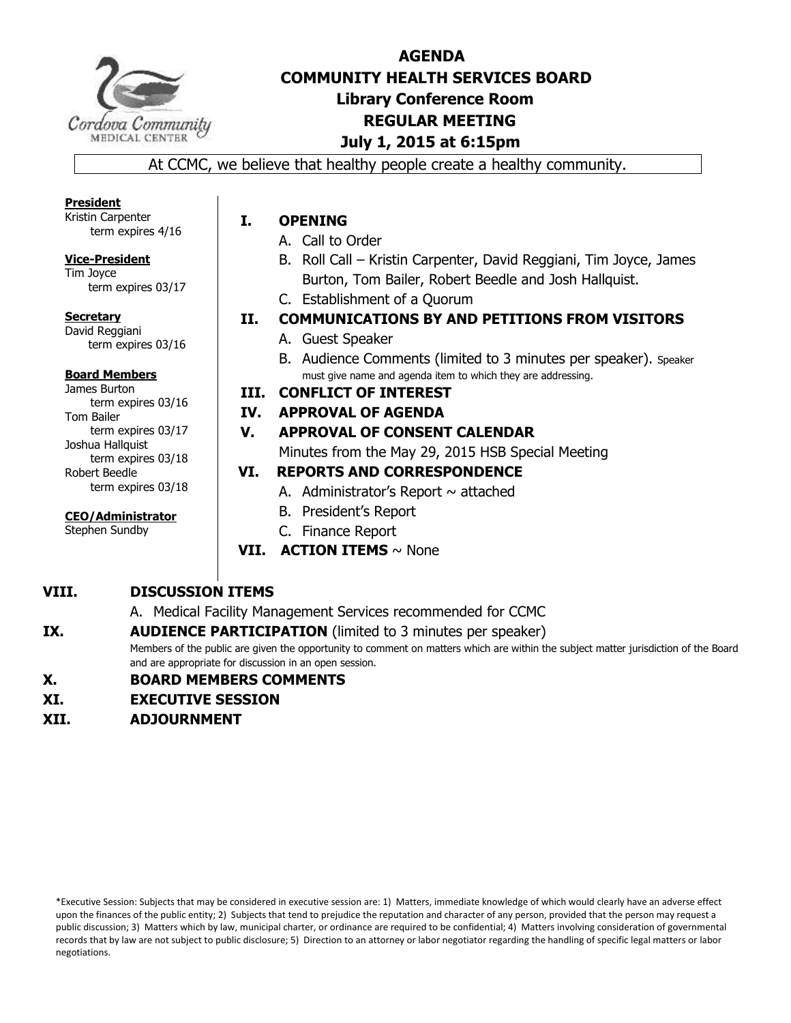

# **AGENDA COMMUNITY HEALTH SERVICES BOARD Library Conference Room REGULAR MEETING July 1, 2015 at 6:15pm**

At CCMC, we believe that healthy people create a healthy community.

#### **President**

Kristin Carpenter term expires 4/16

**Vice-President**  Tim Joyce

term expires 03/17

**Secretary**  David Reggiani term expires 03/16

#### **Board Members**

James Burton term expires 03/16 Tom Bailer term expires 03/17 Joshua Hallquist term expires 03/18 Robert Beedle term expires 03/18

**CEO/Administrator** 

Stephen Sundby

# **I. OPENING**

- A. Call to Order
- B. Roll Call Kristin Carpenter, David Reggiani, Tim Joyce, James Burton, Tom Bailer, Robert Beedle and Josh Hallquist.
- C. Establishment of a Quorum
- **II. COMMUNICATIONS BY AND PETITIONS FROM VISITORS** 
	- A. Guest Speaker
	- B. Audience Comments (limited to 3 minutes per speaker). Speaker must give name and agenda item to which they are addressing.

# **III. CONFLICT OF INTEREST**

# **IV. APPROVAL OF AGENDA**

# **V. APPROVAL OF CONSENT CALENDAR**

Minutes from the May 29, 2015 HSB Special Meeting

# **VI. REPORTS AND CORRESPONDENCE**

- A. Administrator's Report  $\sim$  attached
- B. President's Report
- C. Finance Report
- **VII. ACTION ITEMS** ~ None

# **VIII. DISCUSSION ITEMS**

A. Medical Facility Management Services recommended for CCMC

# **IX. AUDIENCE PARTICIPATION** (limited to 3 minutes per speaker)

Members of the public are given the opportunity to comment on matters which are within the subject matter jurisdiction of the Board and are appropriate for discussion in an open session.

# **X. BOARD MEMBERS COMMENTS**

- **XI. EXECUTIVE SESSION**
- **XII. ADJOURNMENT**

\*Executive Session: Subjects that may be considered in executive session are: 1) Matters, immediate knowledge of which would clearly have an adverse effect upon the finances of the public entity; 2) Subjects that tend to prejudice the reputation and character of any person, provided that the person may request a public discussion; 3) Matters which by law, municipal charter, or ordinance are required to be confidential; 4) Matters involving consideration of governmental records that by law are not subject to public disclosure; 5) Direction to an attorney or labor negotiator regarding the handling of specific legal matters or labor negotiations.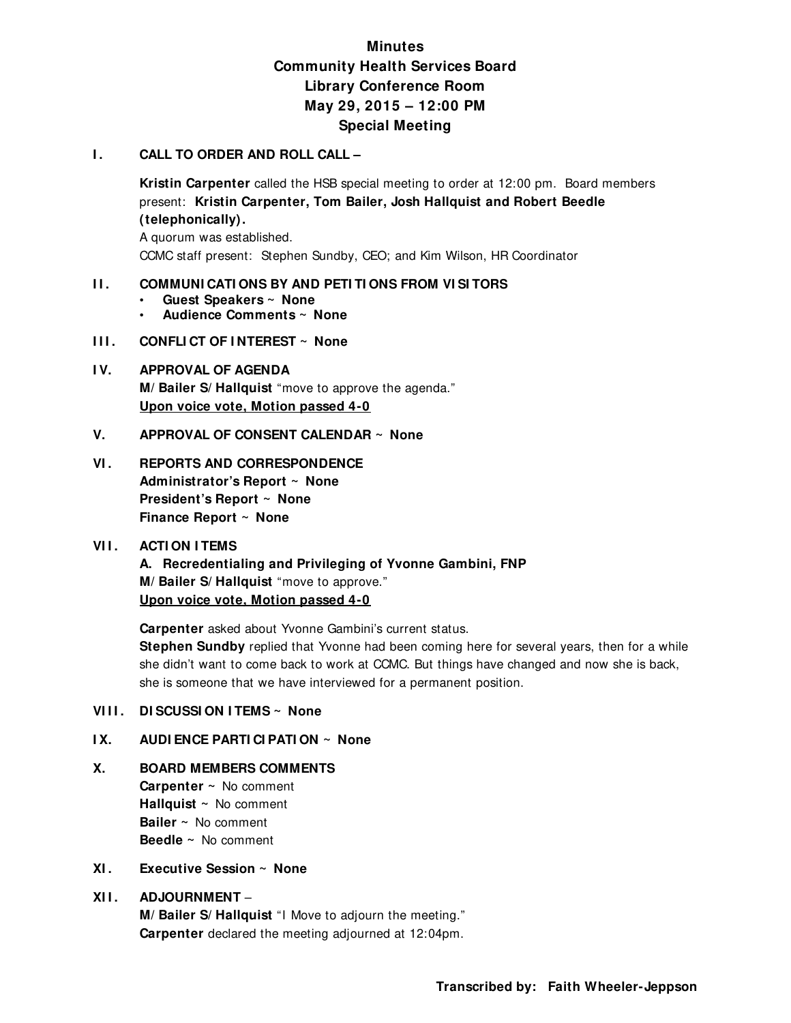# **Minutes Community Health Services Board Library Conference Room May 29, 2015 – 12:00 PM Special Meeting**

#### **I. CALL TO ORDER AND ROLL CALL –**

**Kristin Carpenter** called the HSB special meeting to order at 12:00 pm. Board members present: **Kristin Carpenter, Tom Bailer, Josh Hallquist and Robert Beedle (telephonically).** 

A quorum was established. CCMC staff present: Stephen Sundby, CEO; and Kim Wilson, HR Coordinator

#### **II. COMMUNICATIONS BY AND PETITIONS FROM VISITORS**

- **Guest Speakers ~ None**
- **Audience Comments ~ None**
- **III.** CONFLICT OF INTEREST ~ None

## **I V. APPROVAL OF AGENDA M/ Bailer S/ Hallquist** "move to approve the agenda." **Upon voice vote, Motion passed 4-0**

**V. APPROVAL OF CONSENT CALENDAR ~ None**

## **VI. REPORTS AND CORRESPONDENCE Administrator's Report ~ None President's Report ~ None Finance Report ~ None**

#### **VII. ACTION ITEMS**

**A. Recredentialing and Privileging of Yvonne Gambini, FNP M/ Bailer S/ Hallquist** "move to approve."  **Upon voice vote, Motion passed 4-0** 

 **Carpenter** asked about Yvonne Gambini's current status. **Stephen Sundby** replied that Yvonne had been coming here for several years, then for a while she didn't want to come back to work at CCMC. But things have changed and now she is back, she is someone that we have interviewed for a permanent position.

### **VIII.** DI SCUSSI ON ITEMS ~ None

#### **I X. AUDI ENCE PARTI CI PATI ON ~ None**

# **X. BOARD MEMBERS COMMENTS**

 **Carpenter ~** No comment **Hallquist ~** No comment **Bailer ~** No comment **Beedle ~** No comment

## **XI . Executive Session ~ None**

### **XI I . ADJOURNMENT** –

**M/ Bailer S/ Hallquist** "I Move to adjourn the meeting." **Carpenter** declared the meeting adjourned at 12:04pm.